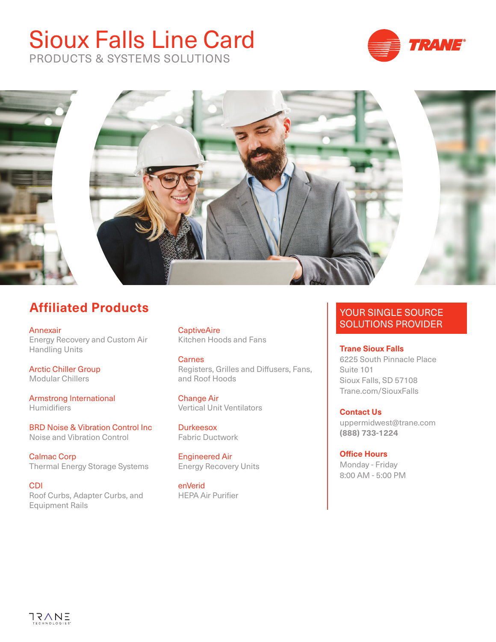## Sioux Falls Line Card



PRODUCTS & SYSTEMS SOLUTIONS



## **Affiliated Products**

Annexair Energy Recovery and Custom Air Handling Units

Arctic Chiller Group Modular Chillers

Armstrong International **Humidifiers** 

BRD Noise & Vibration Control Inc Noise and Vibration Control

Calmac Corp Thermal Energy Storage Systems

CDI Roof Curbs, Adapter Curbs, and Equipment Rails

**CaptiveAire** Kitchen Hoods and Fans

**Carnes** Registers, Grilles and Diffusers, Fans, and Roof Hoods

Change Air Vertical Unit Ventilators

**Durkeesox** Fabric Ductwork

Engineered Air Energy Recovery Units

enVerid HEPA Air Purifier

## YOUR SINGLE SOURCE SOLUTIONS PROVIDER

**Trane Sioux Falls**

6225 South Pinnacle Place Suite 101 Sioux Falls, SD 57108 Trane.com/SiouxFalls

**Contact Us**  uppermidwest@trane.com **(888) 733-1224**

**Office Hours** Monday - Friday 8:00 AM - 5:00 PM